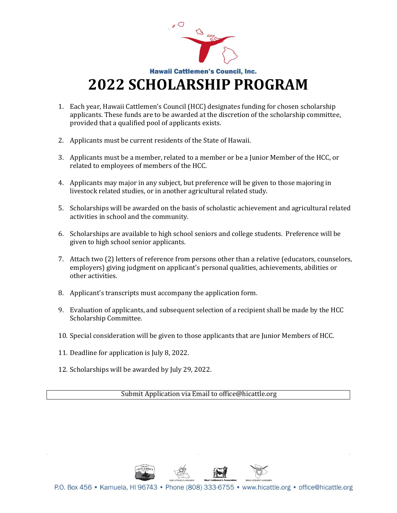

- 1. Each year, Hawaii Cattlemen's Council (HCC) designates funding for chosen scholarship applicants. These funds are to be awarded at the discretion of the scholarship committee, provided that a qualified pool of applicants exists.
- 2. Applicants must be current residents of the State of Hawaii.
- 3. Applicants must be a member, related to a member or be a Junior Member of the HCC, or related to employees of members of the HCC.
- 4. Applicants may major in any subject, but preference will be given to those majoring in livestock related studies, or in another agricultural related study.
- 5. Scholarships will be awarded on the basis of scholastic achievement and agricultural related activities in school and the community.
- 6. Scholarships are available to high school seniors and college students. Preference will be given to high school senior applicants.
- 7. Attach two (2) letters of reference from persons other than a relative (educators, counselors, employers) giving judgment on applicant's personal qualities, achievements, abilities or other activities.
- 8. Applicant's transcripts must accompany the application form.
- 9. Evaluation of applicants, and subsequent selection of a recipient shall be made by the HCC Scholarship Committee.
- 10. Special consideration will be given to those applicants that are Junior Members of HCC.
- 11. Deadline for application is July 8, 2022.
- 12. Scholarships will be awarded by July 29, 2022.

Submit Application via Email to office@hicattle.org